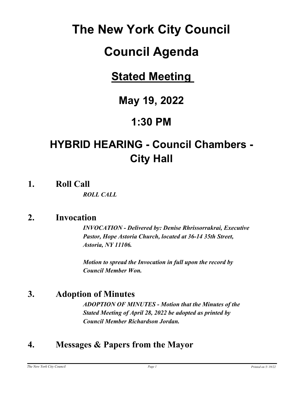# **The New York City Council**

# **Council Agenda**

# **Stated Meeting**

# **May 19, 2022**

# **1:30 PM**

# **HYBRID HEARING - Council Chambers - City Hall**

**1. Roll Call**

*ROLL CALL*

### **2. Invocation**

*INVOCATION - Delivered by: Denise Rhrissorrakrai, Executive Pastor, Hope Astoria Church, located at 36-14 35th Street, Astoria, NY 11106.*

*Motion to spread the Invocation in full upon the record by Council Member Won.*

### **3. Adoption of Minutes**

*ADOPTION OF MINUTES - Motion that the Minutes of the Stated Meeting of April 28, 2022 be adopted as printed by Council Member Richardson Jordan.*

### **4. Messages & Papers from the Mayor**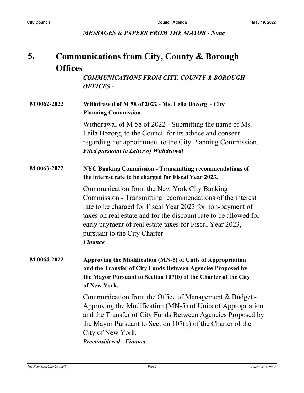*MESSAGES & PAPERS FROM THE MAYOR - None*

#### **Communications from City, County & Borough Offices 5.**

*COMMUNICATIONS FROM CITY, COUNTY & BOROUGH OFFICES -*

### **M 0062-2022 Withdrawal of M 58 of 2022 - Ms. Leila Bozorg - City Planning Commission**

Withdrawal of M 58 of 2022 - Submitting the name of Ms. Leila Bozorg, to the Council for its advice and consent regarding her appointment to the City Planning Commission. *Filed pursuant to Letter of Withdrawal*

#### **M 0063-2022 NYC Banking Commission - Transmitting recommendations of the interest rate to be charged for Fiscal Year 2023.**

Communication from the New York City Banking Commission - Transmitting recommendations of the interest rate to be charged for Fiscal Year 2023 for non-payment of taxes on real estate and for the discount rate to be allowed for early payment of real estate taxes for Fiscal Year 2023, pursuant to the City Charter. *Finance*

#### **M 0064-2022 Approving the Modification (MN-5) of Units of Appropriation and the Transfer of City Funds Between Agencies Proposed by the Mayor Pursuant to Section 107(b) of the Charter of the City of New York.**

Communication from the Office of Management & Budget - Approving the Modification (MN-5) of Units of Appropriation and the Transfer of City Funds Between Agencies Proposed by the Mayor Pursuant to Section 107(b) of the Charter of the City of New York. *Preconsidered - Finance*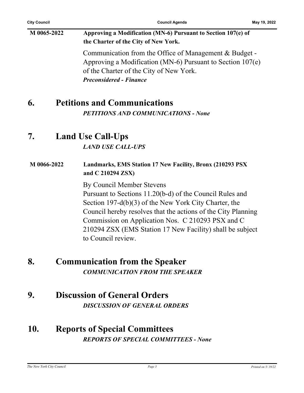### **M 0065-2022 Approving a Modification (MN-6) Pursuant to Section 107(e) of the Charter of the City of New York.**

Communication from the Office of Management & Budget - Approving a Modification (MN-6) Pursuant to Section 107(e) of the Charter of the City of New York. *Preconsidered - Finance*

### **6. Petitions and Communications**

*PETITIONS AND COMMUNICATIONS - None*

### **7. Land Use Call-Ups**

*LAND USE CALL-UPS*

#### **M 0066-2022 Landmarks, EMS Station 17 New Facility, Bronx (210293 PSX and C 210294 ZSX)**

By Council Member Stevens Pursuant to Sections 11.20(b-d) of the Council Rules and Section 197-d(b)(3) of the New York City Charter, the Council hereby resolves that the actions of the City Planning Commission on Application Nos. C 210293 PSX and C 210294 ZSX (EMS Station 17 New Facility) shall be subject to Council review.

### **8. Communication from the Speaker** *COMMUNICATION FROM THE SPEAKER*

#### **9. Discussion of General Orders** *DISCUSSION OF GENERAL ORDERS*

### **10. Reports of Special Committees** *REPORTS OF SPECIAL COMMITTEES - None*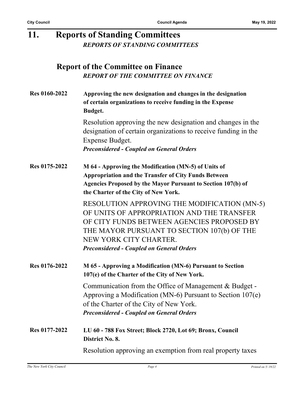| 11.                  | <b>Reports of Standing Committees</b> |                                                                                                                                                                                                                                                                              |
|----------------------|---------------------------------------|------------------------------------------------------------------------------------------------------------------------------------------------------------------------------------------------------------------------------------------------------------------------------|
|                      |                                       | <b>REPORTS OF STANDING COMMITTEES</b>                                                                                                                                                                                                                                        |
|                      |                                       | <b>Report of the Committee on Finance</b><br><b>REPORT OF THE COMMITTEE ON FINANCE</b>                                                                                                                                                                                       |
| <b>Res 0160-2022</b> |                                       | Approving the new designation and changes in the designation<br>of certain organizations to receive funding in the Expense<br><b>Budget.</b>                                                                                                                                 |
|                      |                                       | Resolution approving the new designation and changes in the<br>designation of certain organizations to receive funding in the<br>Expense Budget.<br><b>Preconsidered - Coupled on General Orders</b>                                                                         |
| Res 0175-2022        |                                       | M 64 - Approving the Modification (MN-5) of Units of<br><b>Appropriation and the Transfer of City Funds Between</b><br>Agencies Proposed by the Mayor Pursuant to Section 107(b) of<br>the Charter of the City of New York.                                                  |
|                      |                                       | <b>RESOLUTION APPROVING THE MODIFICATION (MN-5)</b><br>OF UNITS OF APPROPRIATION AND THE TRANSFER<br>OF CITY FUNDS BETWEEN AGENCIES PROPOSED BY<br>THE MAYOR PURSUANT TO SECTION 107(b) OF THE<br>NEW YORK CITY CHARTER.<br><b>Preconsidered - Coupled on General Orders</b> |
| Res 0176-2022        |                                       | M 65 - Approving a Modification (MN-6) Pursuant to Section<br>107(e) of the Charter of the City of New York.                                                                                                                                                                 |
|                      |                                       | Communication from the Office of Management & Budget -<br>Approving a Modification (MN-6) Pursuant to Section $107(e)$<br>of the Charter of the City of New York.<br><b>Preconsidered - Coupled on General Orders</b>                                                        |
| Res 0177-2022        |                                       | LU 60 - 788 Fox Street; Block 2720, Lot 69; Bronx, Council<br>District No. 8.                                                                                                                                                                                                |
|                      |                                       | Resolution approving an exemption from real property taxes                                                                                                                                                                                                                   |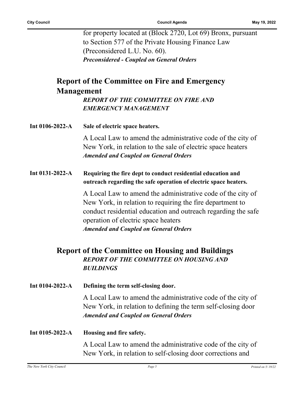for property located at (Block 2720, Lot 69) Bronx, pursuant to Section 577 of the Private Housing Finance Law (Preconsidered L.U. No. 60). *Preconsidered - Coupled on General Orders*

### **Report of the Committee on Fire and Emergency Management**

*REPORT OF THE COMMITTEE ON FIRE AND EMERGENCY MANAGEMENT*

| Int $0106 - 2022 - A$ | Sale of electric space heaters. |
|-----------------------|---------------------------------|
|-----------------------|---------------------------------|

A Local Law to amend the administrative code of the city of New York, in relation to the sale of electric space heaters *Amended and Coupled on General Orders*

**Int 0131-2022-A Requiring the fire dept to conduct residential education and outreach regarding the safe operation of electric space heaters.**

> A Local Law to amend the administrative code of the city of New York, in relation to requiring the fire department to conduct residential education and outreach regarding the safe operation of electric space heaters *Amended and Coupled on General Orders*

### **Report of the Committee on Housing and Buildings** *REPORT OF THE COMMITTEE ON HOUSING AND BUILDINGS*

**Int 0104-2022-A Defining the term self-closing door.**

A Local Law to amend the administrative code of the city of New York, in relation to defining the term self-closing door *Amended and Coupled on General Orders*

**Int 0105-2022-A Housing and fire safety.**

A Local Law to amend the administrative code of the city of New York, in relation to self-closing door corrections and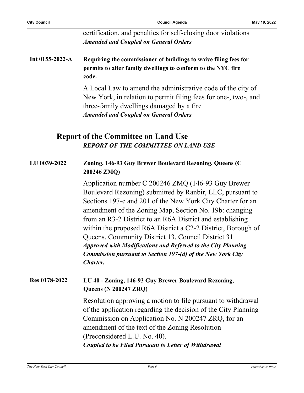certification, and penalties for self-closing door violations *Amended and Coupled on General Orders*

**Int 0155-2022-A Requiring the commissioner of buildings to waive filing fees for permits to alter family dwellings to conform to the NYC fire code.**

> A Local Law to amend the administrative code of the city of New York, in relation to permit filing fees for one-, two-, and three-family dwellings damaged by a fire *Amended and Coupled on General Orders*

### **Report of the Committee on Land Use** *REPORT OF THE COMMITTEE ON LAND USE*

#### **LU 0039-2022 Zoning, 146-93 Guy Brewer Boulevard Rezoning, Queens (C 200246 ZMQ)**

Application number C 200246 ZMQ (146-93 Guy Brewer Boulevard Rezoning) submitted by Ranbir, LLC, pursuant to Sections 197-c and 201 of the New York City Charter for an amendment of the Zoning Map, Section No. 19b: changing from an R3-2 District to an R6A District and establishing within the proposed R6A District a C2-2 District, Borough of Queens, Community District 13, Council District 31. *Approved with Modifications and Referred to the City Planning Commission pursuant to Section 197-(d) of the New York City Charter.*

#### **Res 0178-2022 LU 40 - Zoning, 146-93 Guy Brewer Boulevard Rezoning, Queens (N 200247 ZRQ)**

Resolution approving a motion to file pursuant to withdrawal of the application regarding the decision of the City Planning Commission on Application No. N 200247 ZRQ, for an amendment of the text of the Zoning Resolution (Preconsidered L.U. No. 40). *Coupled to be Filed Pursuant to Letter of Withdrawal*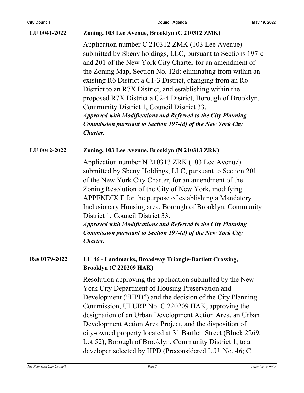| LU 0041-2022  | Zoning, 103 Lee Avenue, Brooklyn (C 210312 ZMK)                                                                                                                                                                                                                                                                                                                                                                                                                                                                                                                                                                                                    |
|---------------|----------------------------------------------------------------------------------------------------------------------------------------------------------------------------------------------------------------------------------------------------------------------------------------------------------------------------------------------------------------------------------------------------------------------------------------------------------------------------------------------------------------------------------------------------------------------------------------------------------------------------------------------------|
|               | Application number C 210312 ZMK (103 Lee Avenue)<br>submitted by Sbeny holdings, LLC, pursuant to Sections 197-c<br>and 201 of the New York City Charter for an amendment of<br>the Zoning Map, Section No. 12d: eliminating from within an<br>existing R6 District a C1-3 District, changing from an R6<br>District to an R7X District, and establishing within the<br>proposed R7X District a C2-4 District, Borough of Brooklyn,<br>Community District 1, Council District 33.<br><b>Approved with Modifications and Referred to the City Planning</b><br><b>Commission pursuant to Section 197-(d) of the New York City</b><br><b>Charter.</b> |
| LU 0042-2022  | Zoning, 103 Lee Avenue, Brooklyn (N 210313 ZRK)                                                                                                                                                                                                                                                                                                                                                                                                                                                                                                                                                                                                    |
|               | Application number N 210313 ZRK (103 Lee Avenue)<br>submitted by Sbeny Holdings, LLC, pursuant to Section 201<br>of the New York City Charter, for an amendment of the<br>Zoning Resolution of the City of New York, modifying<br>APPENDIX F for the purpose of establishing a Mandatory<br>Inclusionary Housing area, Borough of Brooklyn, Community<br>District 1, Council District 33.<br><b>Approved with Modifications and Referred to the City Planning</b><br><b>Commission pursuant to Section 197-(d) of the New York City</b><br><b>Charter.</b>                                                                                         |
| Res 0179-2022 | LU 46 - Landmarks, Broadway Triangle-Bartlett Crossing,<br>Brooklyn (C 220209 HAK)                                                                                                                                                                                                                                                                                                                                                                                                                                                                                                                                                                 |
|               | Resolution approving the application submitted by the New<br>York City Department of Housing Preservation and<br>Development ("HPD") and the decision of the City Planning<br>Commission, ULURP No. C 220209 HAK, approving the<br>designation of an Urban Development Action Area, an Urban<br>Development Action Area Project, and the disposition of<br>city-owned property located at 31 Bartlett Street (Block 2269,<br>Lot 52), Borough of Brooklyn, Community District 1, to a<br>developer selected by HPD (Preconsidered L.U. No. 46; C                                                                                                   |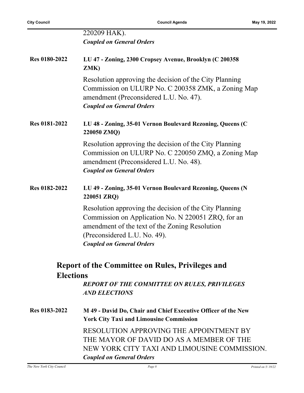j.

|                      | 220209 HAK).                                                                                                                                                                                                                       |
|----------------------|------------------------------------------------------------------------------------------------------------------------------------------------------------------------------------------------------------------------------------|
|                      | <b>Coupled on General Orders</b>                                                                                                                                                                                                   |
| <b>Res 0180-2022</b> | LU 47 - Zoning, 2300 Cropsey Avenue, Brooklyn (C 200358<br>ZMK)                                                                                                                                                                    |
|                      | Resolution approving the decision of the City Planning<br>Commission on ULURP No. C 200358 ZMK, a Zoning Map<br>amendment (Preconsidered L.U. No. 47).<br><b>Coupled on General Orders</b>                                         |
| <b>Res 0181-2022</b> | LU 48 - Zoning, 35-01 Vernon Boulevard Rezoning, Queens (C<br>220050 ZMQ)                                                                                                                                                          |
|                      | Resolution approving the decision of the City Planning<br>Commission on ULURP No. C 220050 ZMQ, a Zoning Map<br>amendment (Preconsidered L.U. No. 48).<br><b>Coupled on General Orders</b>                                         |
| Res 0182-2022        | LU 49 - Zoning, 35-01 Vernon Boulevard Rezoning, Queens (N<br>220051 ZRQ)                                                                                                                                                          |
|                      | Resolution approving the decision of the City Planning<br>Commission on Application No. N 220051 ZRQ, for an<br>amendment of the text of the Zoning Resolution<br>(Preconsidered L.U. No. 49).<br><b>Coupled on General Orders</b> |
| <b>Elections</b>     | <b>Report of the Committee on Rules, Privileges and</b>                                                                                                                                                                            |
|                      | <b>REPORT OF THE COMMITTEE ON RULES, PRIVILEGES</b><br><b>AND ELECTIONS</b>                                                                                                                                                        |
| Res 0183-2022        | M 49 - David Do, Chair and Chief Executive Officer of the New<br><b>York City Taxi and Limousine Commission</b>                                                                                                                    |
|                      | RESOLUTION APPROVING THE APPOINTMENT BY<br>THE MAYOR OF DAVID DO AS A MEMBER OF THE<br>NEW YORK CITY TAXI AND LIMOUSINE COMMISSION.<br><b>Coupled on General Orders</b>                                                            |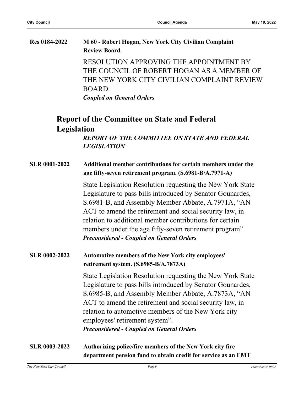| <b>Res 0184-2022</b> | M 60 - Robert Hogan, New York City Civilian Complaint<br><b>Review Board.</b> |
|----------------------|-------------------------------------------------------------------------------|
|                      | RESOLUTION APPROVING THE APPOINTMENT BY                                       |
|                      | THE COUNCIL OF ROBERT HOGAN AS A MEMBER OF                                    |
|                      | THE NEW YORK CITY CIVILIAN COMPLAINT REVIEW                                   |

*Coupled on General Orders*

BOARD.

### **Report of the Committee on State and Federal Legislation**

*REPORT OF THE COMMITTEE ON STATE AND FEDERAL LEGISLATION*

| <b>SLR 0001-2022</b> | Additional member contributions for certain members under the |
|----------------------|---------------------------------------------------------------|
|                      | age fifty-seven retirement program. (S.6981-B/A.7971-A)       |

State Legislation Resolution requesting the New York State Legislature to pass bills introduced by Senator Gounardes, S.6981-B, and Assembly Member Abbate, A.7971A, "AN ACT to amend the retirement and social security law, in relation to additional member contributions for certain members under the age fifty-seven retirement program". *Preconsidered - Coupled on General Orders*

#### **SLR 0002-2022 Automotive members of the New York city employees' retirement system. (S.6985-B/A.7873A)**

State Legislation Resolution requesting the New York State Legislature to pass bills introduced by Senator Gounardes, S.6985-B, and Assembly Member Abbate, A.7873A, "AN ACT to amend the retirement and social security law, in relation to automotive members of the New York city employees' retirement system". *Preconsidered - Coupled on General Orders*

**SLR 0003-2022 Authorizing police/fire members of the New York city fire department pension fund to obtain credit for service as an EMT**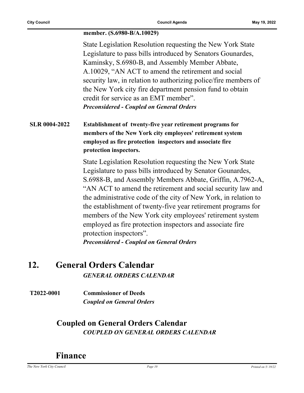#### **member. (S.6980-B/A.10029)**

State Legislation Resolution requesting the New York State Legislature to pass bills introduced by Senators Gounardes, Kaminsky, S.6980-B, and Assembly Member Abbate, A.10029, "AN ACT to amend the retirement and social security law, in relation to authorizing police/fire members of the New York city fire department pension fund to obtain credit for service as an EMT member". *Preconsidered - Coupled on General Orders*

#### **SLR 0004-2022 Establishment of twenty-five year retirement programs for members of the New York city employees' retirement system employed as fire protection inspectors and associate fire protection inspectors.**

State Legislation Resolution requesting the New York State Legislature to pass bills introduced by Senator Gounardes, S.6988-B, and Assembly Members Abbate, Griffin, A.7962-A, "AN ACT to amend the retirement and social security law and the administrative code of the city of New York, in relation to the establishment of twenty-five year retirement programs for members of the New York city employees' retirement system employed as fire protection inspectors and associate fire protection inspectors".

*Preconsidered - Coupled on General Orders*

### **12. General Orders Calendar** *GENERAL ORDERS CALENDAR*

**T2022-0001 Commissioner of Deeds** *Coupled on General Orders*

### **Coupled on General Orders Calendar** *COUPLED ON GENERAL ORDERS CALENDAR*

### **Finance**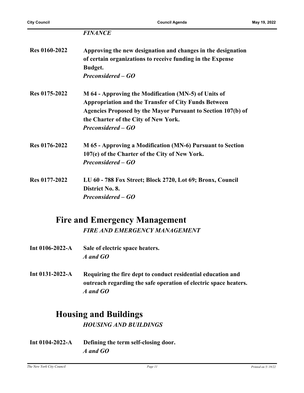| <b>Res 0160-2022</b> | Approving the new designation and changes in the designation<br>of certain organizations to receive funding in the Expense<br>Budget.<br>Preconsidered – GO                                                                                       |
|----------------------|---------------------------------------------------------------------------------------------------------------------------------------------------------------------------------------------------------------------------------------------------|
| Res 0175-2022        | M 64 - Approving the Modification (MN-5) of Units of<br><b>Appropriation and the Transfer of City Funds Between</b><br>Agencies Proposed by the Mayor Pursuant to Section 107(b) of<br>the Charter of the City of New York.<br>Preconsidered – GO |
| Res 0176-2022        | M 65 - Approving a Modification (MN-6) Pursuant to Section<br>107(e) of the Charter of the City of New York.<br>Preconsidered – GO                                                                                                                |
| Res 0177-2022        | LU 60 - 788 Fox Street; Block 2720, Lot 69; Bronx, Council<br>District No. 8.<br>Preconsidered – GO                                                                                                                                               |

## **Fire and Emergency Management**

*FIRE AND EMERGENCY MANAGEMENT*

- **Int 0106-2022-A Sale of electric space heaters.** *A and GO*
- **Int 0131-2022-A Requiring the fire dept to conduct residential education and outreach regarding the safe operation of electric space heaters.** *A and GO*

### **Housing and Buildings**

*HOUSING AND BUILDINGS*

**Int 0104-2022-A Defining the term self-closing door.** *A and GO*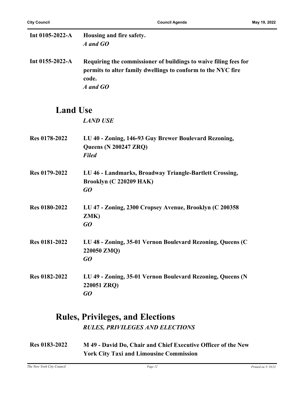| Int 0105-2022-A       | Housing and fire safety.<br>A and GO                                                                                                                  |
|-----------------------|-------------------------------------------------------------------------------------------------------------------------------------------------------|
| Int $0155 - 2022 - A$ | Requiring the commissioner of buildings to waive filing fees for<br>permits to alter family dwellings to conform to the NYC fire<br>code.<br>A and GO |
| <b>Land Use</b>       |                                                                                                                                                       |
|                       | <b>LAND USE</b>                                                                                                                                       |
| Res 0178-2022         | LU 40 - Zoning, 146-93 Guy Brewer Boulevard Rezoning,<br><b>Queens (N 200247 ZRQ)</b><br><b>Filed</b>                                                 |
| Res 0179-2022         | LU 46 - Landmarks, Broadway Triangle-Bartlett Crossing,<br>Brooklyn (C 220209 HAK)<br>GO                                                              |
| <b>Res 0180-2022</b>  | LU 47 - Zoning, 2300 Cropsey Avenue, Brooklyn (C 200358<br>ZMK)<br>GO                                                                                 |
| <b>Res 0181-2022</b>  | LU 48 - Zoning, 35-01 Vernon Boulevard Rezoning, Queens (C<br>220050 ZMQ)<br>$G$ O                                                                    |
| Res 0182-2022         | LU 49 - Zoning, 35-01 Vernon Boulevard Rezoning, Queens (N<br>220051 ZRQ)<br>GO                                                                       |

### **Rules, Privileges, and Elections** *RULES, PRIVILEGES AND ELECTIONS*

**Res 0183-2022 M 49 - David Do, Chair and Chief Executive Officer of the New York City Taxi and Limousine Commission**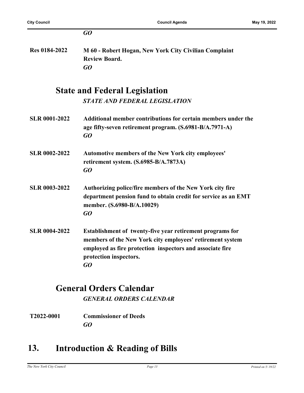|                      | GQ                                                                                                                                                                                                                  |
|----------------------|---------------------------------------------------------------------------------------------------------------------------------------------------------------------------------------------------------------------|
| Res 0184-2022        | M 60 - Robert Hogan, New York City Civilian Complaint<br><b>Review Board.</b><br>GQ                                                                                                                                 |
|                      | <b>State and Federal Legislation</b>                                                                                                                                                                                |
|                      | <b>STATE AND FEDERAL LEGISLATION</b>                                                                                                                                                                                |
| <b>SLR 0001-2022</b> | Additional member contributions for certain members under the<br>age fifty-seven retirement program. (S.6981-B/A.7971-A)<br>GO                                                                                      |
| <b>SLR 0002-2022</b> | <b>Automotive members of the New York city employees'</b><br>retirement system. (S.6985-B/A.7873A)<br>GQ                                                                                                            |
| <b>SLR 0003-2022</b> | Authorizing police/fire members of the New York city fire<br>department pension fund to obtain credit for service as an EMT<br>member. (S.6980-B/A.10029)<br>GQ                                                     |
| <b>SLR 0004-2022</b> | Establishment of twenty-five year retirement programs for<br>members of the New York city employees' retirement system<br>employed as fire protection inspectors and associate fire<br>protection inspectors.<br>GO |
|                      |                                                                                                                                                                                                                     |

# **General Orders Calendar**

*GENERAL ORDERS CALENDAR*

**T2022-0001 Commissioner of Deeds** *GO*

### **13. Introduction & Reading of Bills**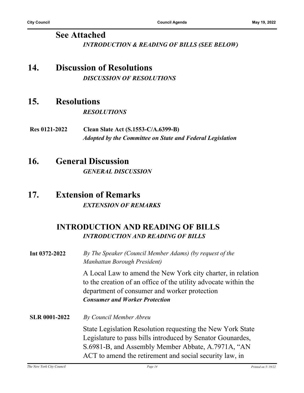### **See Attached** *INTRODUCTION & READING OF BILLS (SEE BELOW)*

### **14. Discussion of Resolutions** *DISCUSSION OF RESOLUTIONS*

### **15. Resolutions**

*RESOLUTIONS*

**Res 0121-2022 Clean Slate Act (S.1553-C/A.6399-B)** *Adopted by the Committee on State and Federal Legislation*

### **16. General Discussion**

*GENERAL DISCUSSION*

### **17. Extension of Remarks** *EXTENSION OF REMARKS*

### **INTRODUCTION AND READING OF BILLS** *INTRODUCTION AND READING OF BILLS*

**Int 0372-2022** *By The Speaker (Council Member Adams) (by request of the Manhattan Borough President)*

> A Local Law to amend the New York city charter, in relation to the creation of an office of the utility advocate within the department of consumer and worker protection *Consumer and Worker Protection*

**SLR 0001-2022** *By Council Member Abreu* State Legislation Resolution requesting the New York State Legislature to pass bills introduced by Senator Gounardes, S.6981-B, and Assembly Member Abbate, A.7971A, "AN ACT to amend the retirement and social security law, in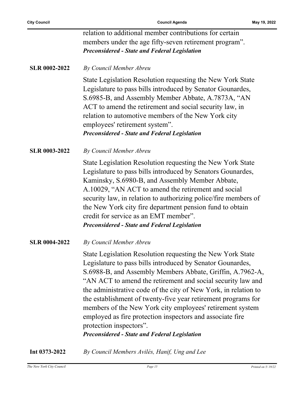| <b>Preconsidered - State and Federal Legislation</b>    |
|---------------------------------------------------------|
| members under the age fifty-seven retirement program".  |
| relation to additional member contributions for certain |

#### **SLR 0002-2022** *By Council Member Abreu*

State Legislation Resolution requesting the New York State Legislature to pass bills introduced by Senator Gounardes, S.6985-B, and Assembly Member Abbate, A.7873A, "AN ACT to amend the retirement and social security law, in relation to automotive members of the New York city employees' retirement system". *Preconsidered - State and Federal Legislation*

**SLR 0003-2022** *By Council Member Abreu*

State Legislation Resolution requesting the New York State Legislature to pass bills introduced by Senators Gounardes, Kaminsky, S.6980-B, and Assembly Member Abbate, A.10029, "AN ACT to amend the retirement and social security law, in relation to authorizing police/fire members of the New York city fire department pension fund to obtain credit for service as an EMT member". *Preconsidered - State and Federal Legislation*

**SLR 0004-2022** *By Council Member Abreu*

State Legislation Resolution requesting the New York State Legislature to pass bills introduced by Senator Gounardes, S.6988-B, and Assembly Members Abbate, Griffin, A.7962-A, "AN ACT to amend the retirement and social security law and the administrative code of the city of New York, in relation to the establishment of twenty-five year retirement programs for members of the New York city employees' retirement system employed as fire protection inspectors and associate fire protection inspectors". *Preconsidered - State and Federal Legislation*

**Int 0373-2022** *By Council Members Avilés, Hanif, Ung and Lee*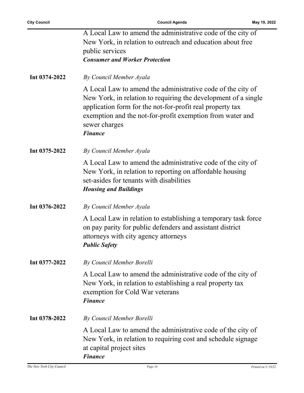|               | A Local Law to amend the administrative code of the city of<br>New York, in relation to outreach and education about free<br>public services                                                                                                                                               |
|---------------|--------------------------------------------------------------------------------------------------------------------------------------------------------------------------------------------------------------------------------------------------------------------------------------------|
|               | <b>Consumer and Worker Protection</b>                                                                                                                                                                                                                                                      |
| Int 0374-2022 | By Council Member Ayala                                                                                                                                                                                                                                                                    |
|               | A Local Law to amend the administrative code of the city of<br>New York, in relation to requiring the development of a single<br>application form for the not-for-profit real property tax<br>exemption and the not-for-profit exemption from water and<br>sewer charges<br><b>Finance</b> |
| Int 0375-2022 | By Council Member Ayala                                                                                                                                                                                                                                                                    |
|               | A Local Law to amend the administrative code of the city of<br>New York, in relation to reporting on affordable housing<br>set-asides for tenants with disabilities<br><b>Housing and Buildings</b>                                                                                        |
| Int 0376-2022 | By Council Member Ayala                                                                                                                                                                                                                                                                    |
|               | A Local Law in relation to establishing a temporary task force<br>on pay parity for public defenders and assistant district<br>attorneys with city agency attorneys<br><b>Public Safety</b>                                                                                                |
| Int 0377-2022 | By Council Member Borelli                                                                                                                                                                                                                                                                  |
|               | A Local Law to amend the administrative code of the city of<br>New York, in relation to establishing a real property tax<br>exemption for Cold War veterans<br><b>Finance</b>                                                                                                              |
| Int 0378-2022 | By Council Member Borelli                                                                                                                                                                                                                                                                  |
|               | A Local Law to amend the administrative code of the city of<br>New York, in relation to requiring cost and schedule signage<br>at capital project sites<br><b>Finance</b>                                                                                                                  |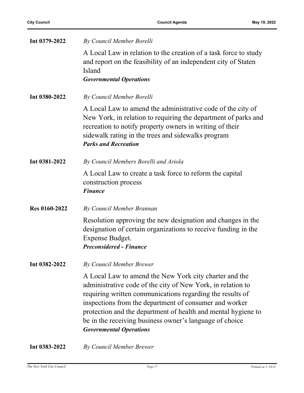| Int 0379-2022        | By Council Member Borelli                                                                                                                                                                                                                                                                                                                                                                                  |
|----------------------|------------------------------------------------------------------------------------------------------------------------------------------------------------------------------------------------------------------------------------------------------------------------------------------------------------------------------------------------------------------------------------------------------------|
|                      | A Local Law in relation to the creation of a task force to study<br>and report on the feasibility of an independent city of Staten<br>Island<br><b>Governmental Operations</b>                                                                                                                                                                                                                             |
| Int 0380-2022        | By Council Member Borelli                                                                                                                                                                                                                                                                                                                                                                                  |
|                      | A Local Law to amend the administrative code of the city of<br>New York, in relation to requiring the department of parks and<br>recreation to notify property owners in writing of their<br>sidewalk rating in the trees and sidewalks program<br><b>Parks and Recreation</b>                                                                                                                             |
| Int 0381-2022        | By Council Members Borelli and Ariola                                                                                                                                                                                                                                                                                                                                                                      |
|                      | A Local Law to create a task force to reform the capital<br>construction process<br><b>Finance</b>                                                                                                                                                                                                                                                                                                         |
| <b>Res 0160-2022</b> | By Council Member Brannan                                                                                                                                                                                                                                                                                                                                                                                  |
|                      | Resolution approving the new designation and changes in the<br>designation of certain organizations to receive funding in the<br>Expense Budget.<br><b>Preconsidered - Finance</b>                                                                                                                                                                                                                         |
| Int 0382-2022        | <b>By Council Member Brewer</b>                                                                                                                                                                                                                                                                                                                                                                            |
|                      | A Local Law to amend the New York city charter and the<br>administrative code of the city of New York, in relation to<br>requiring written communications regarding the results of<br>inspections from the department of consumer and worker<br>protection and the department of health and mental hygiene to<br>be in the receiving business owner's language of choice<br><b>Governmental Operations</b> |
| Int 0383-2022        | <b>By Council Member Brewer</b>                                                                                                                                                                                                                                                                                                                                                                            |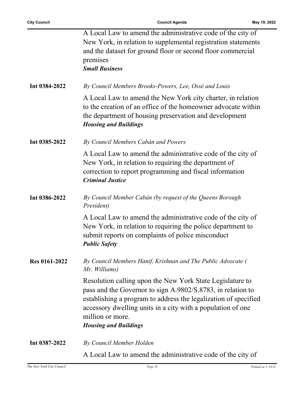|                      | A Local Law to amend the administrative code of the city of<br>New York, in relation to supplemental registration statements<br>and the dataset for ground floor or second floor commercial<br>premises<br><b>Small Business</b>                                                                               |
|----------------------|----------------------------------------------------------------------------------------------------------------------------------------------------------------------------------------------------------------------------------------------------------------------------------------------------------------|
| Int 0384-2022        | By Council Members Brooks-Powers, Lee, Ossé and Louis                                                                                                                                                                                                                                                          |
|                      | A Local Law to amend the New York city charter, in relation<br>to the creation of an office of the homeowner advocate within<br>the department of housing preservation and development<br><b>Housing and Buildings</b>                                                                                         |
| Int 0385-2022        | By Council Members Cabán and Powers                                                                                                                                                                                                                                                                            |
|                      | A Local Law to amend the administrative code of the city of<br>New York, in relation to requiring the department of<br>correction to report programming and fiscal information<br><b>Criminal Justice</b>                                                                                                      |
| Int 0386-2022        | By Council Member Cabán (by request of the Queens Borough<br>President)                                                                                                                                                                                                                                        |
|                      | A Local Law to amend the administrative code of the city of<br>New York, in relation to requiring the police department to<br>submit reports on complaints of police misconduct<br><b>Public Safety</b>                                                                                                        |
| <b>Res 0161-2022</b> | By Council Members Hanif, Krishnan and The Public Advocate (<br>Mr. Williams)                                                                                                                                                                                                                                  |
|                      | Resolution calling upon the New York State Legislature to<br>pass and the Governor to sign A.9802/S.8783, in relation to<br>establishing a program to address the legalization of specified<br>accessory dwelling units in a city with a population of one<br>million or more.<br><b>Housing and Buildings</b> |
| Int 0387-2022        | By Council Member Holden                                                                                                                                                                                                                                                                                       |

A Local Law to amend the administrative code of the city of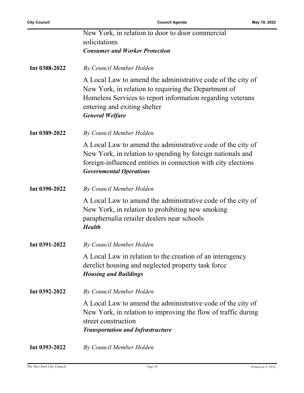|               | New York, in relation to door to door commercial                                                                                                                                                                                            |
|---------------|---------------------------------------------------------------------------------------------------------------------------------------------------------------------------------------------------------------------------------------------|
|               | solicitations                                                                                                                                                                                                                               |
|               | <b>Consumer and Worker Protection</b>                                                                                                                                                                                                       |
| Int 0388-2022 | By Council Member Holden                                                                                                                                                                                                                    |
|               | A Local Law to amend the administrative code of the city of<br>New York, in relation to requiring the Department of<br>Homeless Services to report information regarding veterans<br>entering and exiting shelter<br><b>General Welfare</b> |
| Int 0389-2022 | By Council Member Holden                                                                                                                                                                                                                    |
|               | A Local Law to amend the administrative code of the city of<br>New York, in relation to spending by foreign nationals and<br>foreign-influenced entities in connection with city elections<br><b>Governmental Operations</b>                |
| Int 0390-2022 | By Council Member Holden                                                                                                                                                                                                                    |
|               | A Local Law to amend the administrative code of the city of<br>New York, in relation to prohibiting new smoking<br>paraphernalia retailer dealers near schools<br><b>Health</b>                                                             |
| Int 0391-2022 | By Council Member Holden                                                                                                                                                                                                                    |
|               | A Local Law in relation to the creation of an interagency<br>derelict housing and neglected property task force<br><b>Housing and Buildings</b>                                                                                             |
| Int 0392-2022 | By Council Member Holden                                                                                                                                                                                                                    |
|               | A Local Law to amend the administrative code of the city of<br>New York, in relation to improving the flow of traffic during<br>street construction<br><b>Transportation and Infrastructure</b>                                             |
| Int 0393-2022 | By Council Member Holden                                                                                                                                                                                                                    |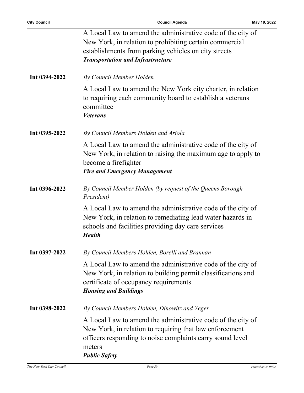|               | A Local Law to amend the administrative code of the city of<br>New York, in relation to prohibiting certain commercial<br>establishments from parking vehicles on city streets<br><b>Transportation and Infrastructure</b> |
|---------------|----------------------------------------------------------------------------------------------------------------------------------------------------------------------------------------------------------------------------|
| Int 0394-2022 | By Council Member Holden                                                                                                                                                                                                   |
|               | A Local Law to amend the New York city charter, in relation<br>to requiring each community board to establish a veterans<br>committee<br><b>Veterans</b>                                                                   |
| Int 0395-2022 | By Council Members Holden and Ariola                                                                                                                                                                                       |
|               | A Local Law to amend the administrative code of the city of<br>New York, in relation to raising the maximum age to apply to<br>become a firefighter<br><b>Fire and Emergency Management</b>                                |
| Int 0396-2022 | By Council Member Holden (by request of the Queens Borough<br>President)                                                                                                                                                   |
|               | A Local Law to amend the administrative code of the city of<br>New York, in relation to remediating lead water hazards in<br>schools and facilities providing day care services<br><b>Health</b>                           |
| Int 0397-2022 | By Council Members Holden, Borelli and Brannan                                                                                                                                                                             |
|               | A Local Law to amend the administrative code of the city of<br>New York, in relation to building permit classifications and<br>certificate of occupancy requirements<br><b>Housing and Buildings</b>                       |
| Int 0398-2022 | By Council Members Holden, Dinowitz and Yeger                                                                                                                                                                              |
|               | A Local Law to amend the administrative code of the city of<br>New York, in relation to requiring that law enforcement<br>officers responding to noise complaints carry sound level<br>meters<br><b>Public Safety</b>      |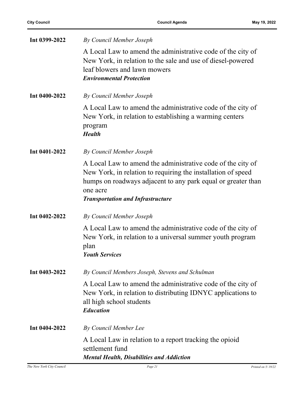| Int 0399-2022 | By Council Member Joseph                                                                                                                                                                                                                            |
|---------------|-----------------------------------------------------------------------------------------------------------------------------------------------------------------------------------------------------------------------------------------------------|
|               | A Local Law to amend the administrative code of the city of<br>New York, in relation to the sale and use of diesel-powered<br>leaf blowers and lawn mowers<br><b>Environmental Protection</b>                                                       |
|               |                                                                                                                                                                                                                                                     |
| Int 0400-2022 | By Council Member Joseph                                                                                                                                                                                                                            |
|               | A Local Law to amend the administrative code of the city of<br>New York, in relation to establishing a warming centers<br>program<br><b>Health</b>                                                                                                  |
| Int 0401-2022 | By Council Member Joseph                                                                                                                                                                                                                            |
|               | A Local Law to amend the administrative code of the city of<br>New York, in relation to requiring the installation of speed<br>humps on roadways adjacent to any park equal or greater than<br>one acre<br><b>Transportation and Infrastructure</b> |
| Int 0402-2022 | By Council Member Joseph                                                                                                                                                                                                                            |
|               | A Local Law to amend the administrative code of the city of<br>New York, in relation to a universal summer youth program<br>plan<br><b>Youth Services</b>                                                                                           |
| Int 0403-2022 | By Council Members Joseph, Stevens and Schulman                                                                                                                                                                                                     |
|               | A Local Law to amend the administrative code of the city of<br>New York, in relation to distributing IDNYC applications to<br>all high school students<br><b>Education</b>                                                                          |
| Int 0404-2022 | By Council Member Lee                                                                                                                                                                                                                               |
|               | A Local Law in relation to a report tracking the opioid<br>settlement fund<br><b>Mental Health, Disabilities and Addiction</b>                                                                                                                      |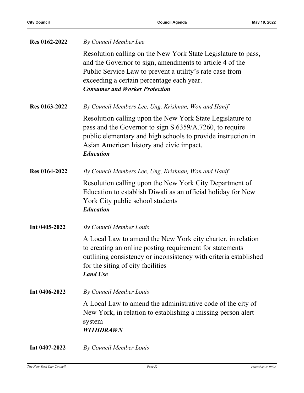| Res 0162-2022 | By Council Member Lee                                                                                                                                                                                                                                                       |
|---------------|-----------------------------------------------------------------------------------------------------------------------------------------------------------------------------------------------------------------------------------------------------------------------------|
|               | Resolution calling on the New York State Legislature to pass,<br>and the Governor to sign, amendments to article 4 of the<br>Public Service Law to prevent a utility's rate case from<br>exceeding a certain percentage each year.<br><b>Consumer and Worker Protection</b> |
| Res 0163-2022 | By Council Members Lee, Ung, Krishnan, Won and Hanif                                                                                                                                                                                                                        |
|               | Resolution calling upon the New York State Legislature to<br>pass and the Governor to sign S.6359/A.7260, to require<br>public elementary and high schools to provide instruction in<br>Asian American history and civic impact.<br><b>Education</b>                        |
| Res 0164-2022 | By Council Members Lee, Ung, Krishnan, Won and Hanif                                                                                                                                                                                                                        |
|               | Resolution calling upon the New York City Department of<br>Education to establish Diwali as an official holiday for New<br>York City public school students<br><b>Education</b>                                                                                             |
| Int 0405-2022 | By Council Member Louis                                                                                                                                                                                                                                                     |
|               | A Local Law to amend the New York city charter, in relation<br>to creating an online posting requirement for statements<br>outlining consistency or inconsistency with criteria established<br>for the siting of city facilities<br><b>Land Use</b>                         |
| Int 0406-2022 | By Council Member Louis                                                                                                                                                                                                                                                     |
|               | A Local Law to amend the administrative code of the city of<br>New York, in relation to establishing a missing person alert<br>system<br><b>WITHDRAWN</b>                                                                                                                   |
| Int 0407-2022 | By Council Member Louis                                                                                                                                                                                                                                                     |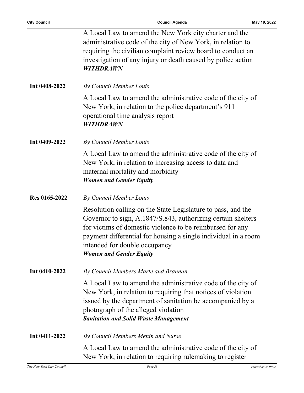|               | A Local Law to amend the New York city charter and the<br>administrative code of the city of New York, in relation to<br>requiring the civilian complaint review board to conduct an<br>investigation of any injury or death caused by police action<br><b>WITHDRAWN</b>                                                       |
|---------------|--------------------------------------------------------------------------------------------------------------------------------------------------------------------------------------------------------------------------------------------------------------------------------------------------------------------------------|
| Int 0408-2022 | By Council Member Louis                                                                                                                                                                                                                                                                                                        |
|               | A Local Law to amend the administrative code of the city of<br>New York, in relation to the police department's 911<br>operational time analysis report<br><b>WITHDRAWN</b>                                                                                                                                                    |
| Int 0409-2022 | By Council Member Louis                                                                                                                                                                                                                                                                                                        |
|               | A Local Law to amend the administrative code of the city of<br>New York, in relation to increasing access to data and<br>maternal mortality and morbidity<br><b>Women and Gender Equity</b>                                                                                                                                    |
| Res 0165-2022 | By Council Member Louis                                                                                                                                                                                                                                                                                                        |
|               | Resolution calling on the State Legislature to pass, and the<br>Governor to sign, A.1847/S.843, authorizing certain shelters<br>for victims of domestic violence to be reimbursed for any<br>payment differential for housing a single individual in a room<br>intended for double occupancy<br><b>Women and Gender Equity</b> |
| Int 0410-2022 | By Council Members Marte and Brannan                                                                                                                                                                                                                                                                                           |
|               | A Local Law to amend the administrative code of the city of<br>New York, in relation to requiring that notices of violation<br>issued by the department of sanitation be accompanied by a<br>photograph of the alleged violation<br><b>Sanitation and Solid Waste Management</b>                                               |
| Int 0411-2022 | By Council Members Menin and Nurse                                                                                                                                                                                                                                                                                             |
|               | A Local Law to amend the administrative code of the city of<br>New York, in relation to requiring rulemaking to register                                                                                                                                                                                                       |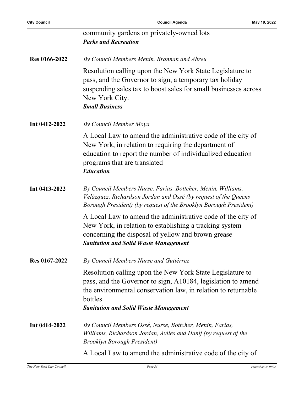|               | community gardens on privately-owned lots<br><b>Parks and Recreation</b>                                                                                                                                                                               |
|---------------|--------------------------------------------------------------------------------------------------------------------------------------------------------------------------------------------------------------------------------------------------------|
| Res 0166-2022 | By Council Members Menin, Brannan and Abreu                                                                                                                                                                                                            |
|               | Resolution calling upon the New York State Legislature to<br>pass, and the Governor to sign, a temporary tax holiday<br>suspending sales tax to boost sales for small businesses across<br>New York City.<br><b>Small Business</b>                     |
| Int 0412-2022 | By Council Member Moya                                                                                                                                                                                                                                 |
|               | A Local Law to amend the administrative code of the city of<br>New York, in relation to requiring the department of<br>education to report the number of individualized education<br>programs that are translated<br><b>Education</b>                  |
| Int 0413-2022 | By Council Members Nurse, Farías, Bottcher, Menin, Williams,<br>Velázquez, Richardson Jordan and Ossé (by request of the Queens<br>Borough President) (by request of the Brooklyn Borough President)                                                   |
|               | A Local Law to amend the administrative code of the city of<br>New York, in relation to establishing a tracking system<br>concerning the disposal of yellow and brown grease<br><b>Sanitation and Solid Waste Management</b>                           |
| Res 0167-2022 | By Council Members Nurse and Gutiérrez                                                                                                                                                                                                                 |
|               | Resolution calling upon the New York State Legislature to<br>pass, and the Governor to sign, A10184, legislation to amend<br>the environmental conservation law, in relation to returnable<br>bottles.<br><b>Sanitation and Solid Waste Management</b> |
| Int 0414-2022 | By Council Members Ossé, Nurse, Bottcher, Menin, Farías,<br>Williams, Richardson Jordan, Avilés and Hanif (by request of the<br><b>Brooklyn Borough President</b> )                                                                                    |
|               | A Local Law to amend the administrative code of the city of                                                                                                                                                                                            |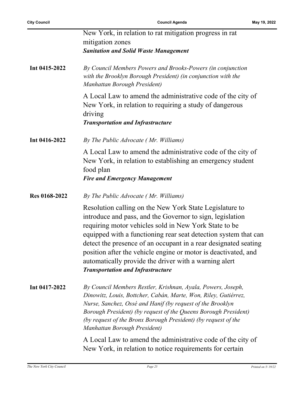|               | New York, in relation to rat mitigation progress in rat<br>mitigation zones                                                                                                                                                                                                                                                                                                                                                                    |
|---------------|------------------------------------------------------------------------------------------------------------------------------------------------------------------------------------------------------------------------------------------------------------------------------------------------------------------------------------------------------------------------------------------------------------------------------------------------|
| Int 0415-2022 | <b>Sanitation and Solid Waste Management</b><br>By Council Members Powers and Brooks-Powers (in conjunction                                                                                                                                                                                                                                                                                                                                    |
|               | with the Brooklyn Borough President) (in conjunction with the<br>Manhattan Borough President)                                                                                                                                                                                                                                                                                                                                                  |
|               | A Local Law to amend the administrative code of the city of<br>New York, in relation to requiring a study of dangerous<br>driving                                                                                                                                                                                                                                                                                                              |
|               | <b>Transportation and Infrastructure</b>                                                                                                                                                                                                                                                                                                                                                                                                       |
| Int 0416-2022 | By The Public Advocate (Mr. Williams)                                                                                                                                                                                                                                                                                                                                                                                                          |
|               | A Local Law to amend the administrative code of the city of<br>New York, in relation to establishing an emergency student<br>food plan                                                                                                                                                                                                                                                                                                         |
|               | <b>Fire and Emergency Management</b>                                                                                                                                                                                                                                                                                                                                                                                                           |
| Res 0168-2022 | By The Public Advocate (Mr. Williams)                                                                                                                                                                                                                                                                                                                                                                                                          |
|               | Resolution calling on the New York State Legislature to<br>introduce and pass, and the Governor to sign, legislation<br>requiring motor vehicles sold in New York State to be<br>equipped with a functioning rear seat detection system that can<br>detect the presence of an occupant in a rear designated seating<br>position after the vehicle engine or motor is deactivated, and<br>automatically provide the driver with a warning alert |
|               | <b>Transportation and Infrastructure</b>                                                                                                                                                                                                                                                                                                                                                                                                       |
| Int 0417-2022 | By Council Members Restler, Krishnan, Ayala, Powers, Joseph,<br>Dinowitz, Louis, Bottcher, Cabán, Marte, Won, Riley, Gutiérrez,<br>Nurse, Sanchez, Ossé and Hanif (by request of the Brooklyn<br>Borough President) (by request of the Queens Borough President)<br>(by request of the Bronx Borough President) (by request of the<br>Manhattan Borough President)                                                                             |
|               | A Local Law to amend the administrative code of the city of<br>New York, in relation to notice requirements for certain                                                                                                                                                                                                                                                                                                                        |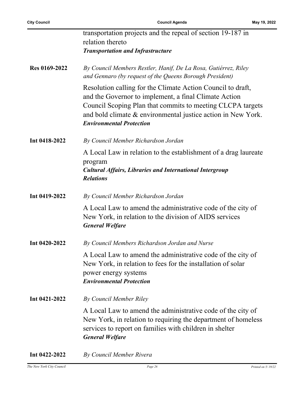| transportation projects and the repeal of section 19-187 in                                                                                                                                                                                                                           |
|---------------------------------------------------------------------------------------------------------------------------------------------------------------------------------------------------------------------------------------------------------------------------------------|
| relation thereto                                                                                                                                                                                                                                                                      |
| <b>Transportation and Infrastructure</b>                                                                                                                                                                                                                                              |
| By Council Members Restler, Hanif, De La Rosa, Gutiérrez, Riley<br>and Gennaro (by request of the Queens Borough President)                                                                                                                                                           |
| Resolution calling for the Climate Action Council to draft,<br>and the Governor to implement, a final Climate Action<br>Council Scoping Plan that commits to meeting CLCPA targets<br>and bold climate & environmental justice action in New York.<br><b>Environmental Protection</b> |
| By Council Member Richardson Jordan                                                                                                                                                                                                                                                   |
| A Local Law in relation to the establishment of a drag laureate<br>program<br><b>Cultural Affairs, Libraries and International Intergroup</b><br><b>Relations</b>                                                                                                                     |
| By Council Member Richardson Jordan                                                                                                                                                                                                                                                   |
| A Local Law to amend the administrative code of the city of<br>New York, in relation to the division of AIDS services<br><b>General Welfare</b>                                                                                                                                       |
| By Council Members Richardson Jordan and Nurse                                                                                                                                                                                                                                        |
| A Local Law to amend the administrative code of the city of<br>New York, in relation to fees for the installation of solar<br>power energy systems<br><b>Environmental Protection</b>                                                                                                 |
| By Council Member Riley                                                                                                                                                                                                                                                               |
| A Local Law to amend the administrative code of the city of<br>New York, in relation to requiring the department of homeless<br>services to report on families with children in shelter<br><b>General Welfare</b>                                                                     |
|                                                                                                                                                                                                                                                                                       |

**Int 0422-2022** *By Council Member Rivera*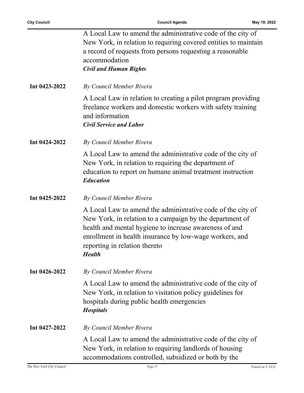|               | A Local Law to amend the administrative code of the city of<br>New York, in relation to requiring covered entities to maintain<br>a record of requests from persons requesting a reasonable<br>accommodation<br><b>Civil and Human Rights</b>                                                  |
|---------------|------------------------------------------------------------------------------------------------------------------------------------------------------------------------------------------------------------------------------------------------------------------------------------------------|
| Int 0423-2022 | By Council Member Rivera                                                                                                                                                                                                                                                                       |
|               | A Local Law in relation to creating a pilot program providing<br>freelance workers and domestic workers with safety training<br>and information<br><b>Civil Service and Labor</b>                                                                                                              |
| Int 0424-2022 | By Council Member Rivera                                                                                                                                                                                                                                                                       |
|               | A Local Law to amend the administrative code of the city of<br>New York, in relation to requiring the department of<br>education to report on humane animal treatment instruction<br><b>Education</b>                                                                                          |
| Int 0425-2022 | By Council Member Rivera                                                                                                                                                                                                                                                                       |
|               | A Local Law to amend the administrative code of the city of<br>New York, in relation to a campaign by the department of<br>health and mental hygiene to increase awareness of and<br>enrollment in health insurance by low-wage workers, and<br>reporting in relation thereto<br><b>Health</b> |
| Int 0426-2022 | By Council Member Rivera                                                                                                                                                                                                                                                                       |
|               | A Local Law to amend the administrative code of the city of<br>New York, in relation to visitation policy guidelines for<br>hospitals during public health emergencies<br><b>Hospitals</b>                                                                                                     |
| Int 0427-2022 | By Council Member Rivera                                                                                                                                                                                                                                                                       |
|               | A Local Law to amend the administrative code of the city of<br>New York, in relation to requiring landlords of housing<br>accommodations controlled, subsidized or both by the                                                                                                                 |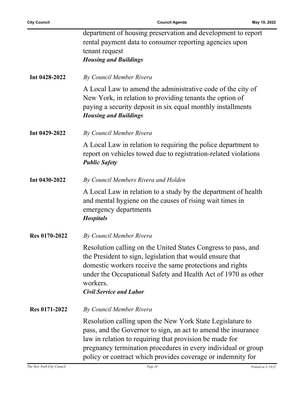|               | department of housing preservation and development to report<br>rental payment data to consumer reporting agencies upon<br>tenant request<br><b>Housing and Buildings</b>                                                                                                                                             |
|---------------|-----------------------------------------------------------------------------------------------------------------------------------------------------------------------------------------------------------------------------------------------------------------------------------------------------------------------|
| Int 0428-2022 | By Council Member Rivera                                                                                                                                                                                                                                                                                              |
|               | A Local Law to amend the administrative code of the city of<br>New York, in relation to providing tenants the option of<br>paying a security deposit in six equal monthly installments<br><b>Housing and Buildings</b>                                                                                                |
| Int 0429-2022 | By Council Member Rivera                                                                                                                                                                                                                                                                                              |
|               | A Local Law in relation to requiring the police department to<br>report on vehicles towed due to registration-related violations<br><b>Public Safety</b>                                                                                                                                                              |
| Int 0430-2022 | By Council Members Rivera and Holden                                                                                                                                                                                                                                                                                  |
|               | A Local Law in relation to a study by the department of health<br>and mental hygiene on the causes of rising wait times in<br>emergency departments<br><b>Hospitals</b>                                                                                                                                               |
| Res 0170-2022 | By Council Member Rivera                                                                                                                                                                                                                                                                                              |
|               | Resolution calling on the United States Congress to pass, and<br>the President to sign, legislation that would ensure that<br>domestic workers receive the same protections and rights<br>under the Occupational Safety and Health Act of 1970 as other<br>workers.<br><b>Civil Service and Labor</b>                 |
| Res 0171-2022 | By Council Member Rivera                                                                                                                                                                                                                                                                                              |
|               | Resolution calling upon the New York State Legislature to<br>pass, and the Governor to sign, an act to amend the insurance<br>law in relation to requiring that provision be made for<br>pregnancy termination procedures in every individual or group<br>policy or contract which provides coverage or indemnity for |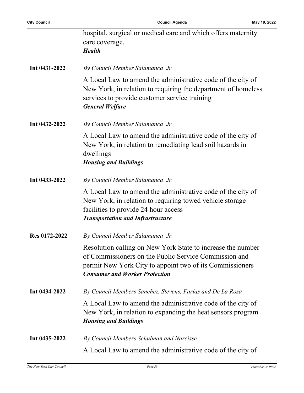|               | hospital, surgical or medical care and which offers maternity<br>care coverage.<br><b>Health</b>                                                                                                                          |
|---------------|---------------------------------------------------------------------------------------------------------------------------------------------------------------------------------------------------------------------------|
| Int 0431-2022 | By Council Member Salamanca Jr.                                                                                                                                                                                           |
|               | A Local Law to amend the administrative code of the city of<br>New York, in relation to requiring the department of homeless<br>services to provide customer service training<br><b>General Welfare</b>                   |
| Int 0432-2022 | By Council Member Salamanca Jr.                                                                                                                                                                                           |
|               | A Local Law to amend the administrative code of the city of<br>New York, in relation to remediating lead soil hazards in<br>dwellings<br><b>Housing and Buildings</b>                                                     |
| Int 0433-2022 | By Council Member Salamanca Jr.                                                                                                                                                                                           |
|               | A Local Law to amend the administrative code of the city of<br>New York, in relation to requiring towed vehicle storage<br>facilities to provide 24 hour access<br><b>Transportation and Infrastructure</b>               |
| Res 0172-2022 | By Council Member Salamanca Jr.                                                                                                                                                                                           |
|               | Resolution calling on New York State to increase the number<br>of Commissioners on the Public Service Commission and<br>permit New York City to appoint two of its Commissioners<br><b>Consumer and Worker Protection</b> |
| Int 0434-2022 | By Council Members Sanchez, Stevens, Farías and De La Rosa                                                                                                                                                                |
|               | A Local Law to amend the administrative code of the city of<br>New York, in relation to expanding the heat sensors program<br><b>Housing and Buildings</b>                                                                |
| Int 0435-2022 | By Council Members Schulman and Narcisse                                                                                                                                                                                  |
|               | A Local Law to amend the administrative code of the city of                                                                                                                                                               |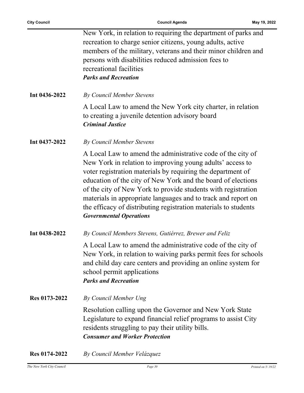|               | New York, in relation to requiring the department of parks and<br>recreation to charge senior citizens, young adults, active<br>members of the military, veterans and their minor children and<br>persons with disabilities reduced admission fees to<br>recreational facilities<br><b>Parks and Recreation</b>                                                                                                                                                                                |
|---------------|------------------------------------------------------------------------------------------------------------------------------------------------------------------------------------------------------------------------------------------------------------------------------------------------------------------------------------------------------------------------------------------------------------------------------------------------------------------------------------------------|
| Int 0436-2022 | By Council Member Stevens                                                                                                                                                                                                                                                                                                                                                                                                                                                                      |
|               | A Local Law to amend the New York city charter, in relation<br>to creating a juvenile detention advisory board<br><b>Criminal Justice</b>                                                                                                                                                                                                                                                                                                                                                      |
| Int 0437-2022 | By Council Member Stevens                                                                                                                                                                                                                                                                                                                                                                                                                                                                      |
|               | A Local Law to amend the administrative code of the city of<br>New York in relation to improving young adults' access to<br>voter registration materials by requiring the department of<br>education of the city of New York and the board of elections<br>of the city of New York to provide students with registration<br>materials in appropriate languages and to track and report on<br>the efficacy of distributing registration materials to students<br><b>Governmental Operations</b> |
| Int 0438-2022 | By Council Members Stevens, Gutiérrez, Brewer and Feliz                                                                                                                                                                                                                                                                                                                                                                                                                                        |
|               | A Local Law to amend the administrative code of the city of<br>New York, in relation to waiving parks permit fees for schools<br>and child day care centers and providing an online system for<br>school permit applications<br><b>Parks and Recreation</b>                                                                                                                                                                                                                                    |
| Res 0173-2022 | By Council Member Ung                                                                                                                                                                                                                                                                                                                                                                                                                                                                          |
|               | Resolution calling upon the Governor and New York State<br>Legislature to expand financial relief programs to assist City<br>residents struggling to pay their utility bills.<br><b>Consumer and Worker Protection</b>                                                                                                                                                                                                                                                                         |
| Res 0174-2022 | By Council Member Velázquez                                                                                                                                                                                                                                                                                                                                                                                                                                                                    |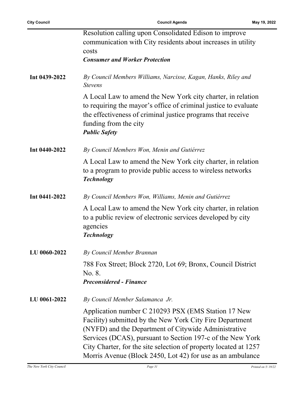|               | Resolution calling upon Consolidated Edison to improve<br>communication with City residents about increases in utility<br>costs<br><b>Consumer and Worker Protection</b>                                                                                                                                                                                                |
|---------------|-------------------------------------------------------------------------------------------------------------------------------------------------------------------------------------------------------------------------------------------------------------------------------------------------------------------------------------------------------------------------|
| Int 0439-2022 | By Council Members Williams, Narcisse, Kagan, Hanks, Riley and<br><b>Stevens</b>                                                                                                                                                                                                                                                                                        |
|               | A Local Law to amend the New York city charter, in relation<br>to requiring the mayor's office of criminal justice to evaluate<br>the effectiveness of criminal justice programs that receive<br>funding from the city<br><b>Public Safety</b>                                                                                                                          |
| Int 0440-2022 | By Council Members Won, Menin and Gutiérrez                                                                                                                                                                                                                                                                                                                             |
|               | A Local Law to amend the New York city charter, in relation<br>to a program to provide public access to wireless networks<br><b>Technology</b>                                                                                                                                                                                                                          |
| Int 0441-2022 | By Council Members Won, Williams, Menin and Gutiérrez                                                                                                                                                                                                                                                                                                                   |
|               | A Local Law to amend the New York city charter, in relation<br>to a public review of electronic services developed by city<br>agencies<br><b>Technology</b>                                                                                                                                                                                                             |
| LU 0060-2022  | By Council Member Brannan                                                                                                                                                                                                                                                                                                                                               |
|               | 788 Fox Street; Block 2720, Lot 69; Bronx, Council District<br>No. 8.<br><b>Preconsidered - Finance</b>                                                                                                                                                                                                                                                                 |
| LU 0061-2022  | By Council Member Salamanca Jr.                                                                                                                                                                                                                                                                                                                                         |
|               | Application number C 210293 PSX (EMS Station 17 New<br>Facility) submitted by the New York City Fire Department<br>(NYFD) and the Department of Citywide Administrative<br>Services (DCAS), pursuant to Section 197-c of the New York<br>City Charter, for the site selection of property located at 1257<br>Morris Avenue (Block 2450, Lot 42) for use as an ambulance |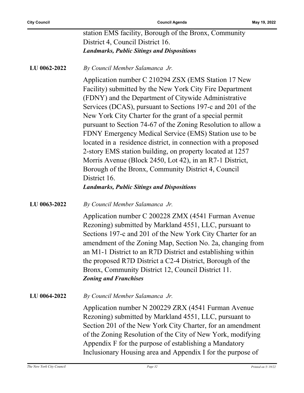|                     | station EMS facility, Borough of the Bronx, Community                                                                                                                                                                                                                                                                                                                                                                                                                                                                                                                                                                                                                                                                                              |
|---------------------|----------------------------------------------------------------------------------------------------------------------------------------------------------------------------------------------------------------------------------------------------------------------------------------------------------------------------------------------------------------------------------------------------------------------------------------------------------------------------------------------------------------------------------------------------------------------------------------------------------------------------------------------------------------------------------------------------------------------------------------------------|
|                     | District 4, Council District 16.                                                                                                                                                                                                                                                                                                                                                                                                                                                                                                                                                                                                                                                                                                                   |
|                     | <b>Landmarks, Public Sitings and Dispositions</b>                                                                                                                                                                                                                                                                                                                                                                                                                                                                                                                                                                                                                                                                                                  |
| LU 0062-2022        | By Council Member Salamanca Jr.                                                                                                                                                                                                                                                                                                                                                                                                                                                                                                                                                                                                                                                                                                                    |
|                     | Application number C 210294 ZSX (EMS Station 17 New<br>Facility) submitted by the New York City Fire Department<br>(FDNY) and the Department of Citywide Administrative<br>Services (DCAS), pursuant to Sections 197-c and 201 of the<br>New York City Charter for the grant of a special permit<br>pursuant to Section 74-67 of the Zoning Resolution to allow a<br>FDNY Emergency Medical Service (EMS) Station use to be<br>located in a residence district, in connection with a proposed<br>2-story EMS station building, on property located at 1257<br>Morris Avenue (Block 2450, Lot 42), in an R7-1 District,<br>Borough of the Bronx, Community District 4, Council<br>District 16.<br><b>Landmarks, Public Sitings and Dispositions</b> |
| LU 0063-2022        | By Council Member Salamanca Jr.                                                                                                                                                                                                                                                                                                                                                                                                                                                                                                                                                                                                                                                                                                                    |
|                     | Application number C 200228 ZMX (4541 Furman Avenue<br>Rezoning) submitted by Markland 4551, LLC, pursuant to<br>Sections 197-c and 201 of the New York City Charter for an<br>amendment of the Zoning Map, Section No. 2a, changing from<br>an M1-1 District to an R7D District and establishing within<br>the proposed R7D District a C2-4 District, Borough of the<br>Bronx, Community District 12, Council District 11.<br><b>Zoning and Franchises</b>                                                                                                                                                                                                                                                                                        |
| <b>LU 0064-2022</b> | By Council Member Salamanca Jr.                                                                                                                                                                                                                                                                                                                                                                                                                                                                                                                                                                                                                                                                                                                    |
|                     | Application number N 200229 ZRX (4541 Furman Avenue<br>Rezoning) submitted by Markland 4551, LLC, pursuant to<br>Section 201 of the New York City Charter, for an amendment<br>of the Zoning Resolution of the City of New York, modifying<br>Appendix F for the purpose of establishing a Mandatory<br>Inclusionary Housing area and Appendix I for the purpose of                                                                                                                                                                                                                                                                                                                                                                                |